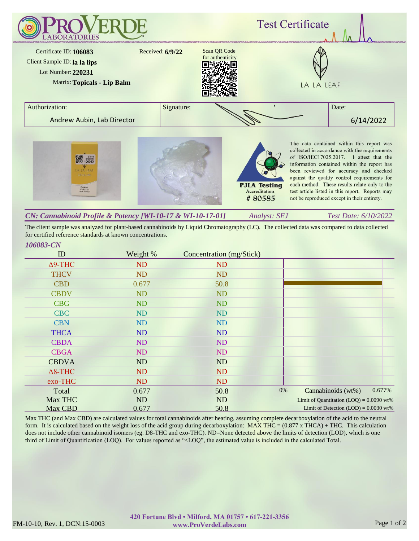

*Analyst: SEJ Test Date: 6/10/2022 CN: Cannabinoid Profile & Potency [WI-10-17 & WI-10-17-01]*

The client sample was analyzed for plant-based cannabinoids by Liquid Chromatography (LC). The collected data was compared to data collected for certified reference standards at known concentrations.

## *106083-CN*

| ID             | Weight %  | Concentration (mg/Stick) |                                            |
|----------------|-----------|--------------------------|--------------------------------------------|
| $\Delta$ 9-THC | ND        | N <sub>D</sub>           |                                            |
| <b>THCV</b>    | <b>ND</b> | ND                       |                                            |
| <b>CBD</b>     | 0.677     | 50.8                     |                                            |
| <b>CBDV</b>    | <b>ND</b> | ND                       |                                            |
| <b>CBG</b>     | <b>ND</b> | <b>ND</b>                |                                            |
| <b>CBC</b>     | <b>ND</b> | <b>ND</b>                |                                            |
| <b>CBN</b>     | <b>ND</b> | <b>ND</b>                |                                            |
| <b>THCA</b>    | <b>ND</b> | <b>ND</b>                |                                            |
| <b>CBDA</b>    | <b>ND</b> | <b>ND</b>                |                                            |
| <b>CBGA</b>    | ND        | <b>ND</b>                |                                            |
| <b>CBDVA</b>   | ND        | ND                       |                                            |
| $\Delta$ 8-THC | ND        | <b>ND</b>                |                                            |
| exo-THC        | ND        | <b>ND</b>                |                                            |
| Total          | 0.677     | 50.8                     | 0.677%<br>0%<br>Cannabinoids (wt%)         |
| Max THC        | ND        | <b>ND</b>                | Limit of Quantitation $(LOQ) = 0.0090$ wt% |
| Max CBD        | 0.677     | 50.8                     | Limit of Detection $(LOD) = 0.0030$ wt%    |

Max THC (and Max CBD) are calculated values for total cannabinoids after heating, assuming complete decarboxylation of the acid to the neutral form. It is calculated based on the weight loss of the acid group during decarboxylation: MAX THC = (0.877 x THCA) + THC. This calculation does not include other cannabinoid isomers (eg. D8-THC and exo-THC). ND=None detected above the limits of detection (LOD), which is one third of Limit of Quantification (LOQ). For values reported as "<LOQ", the estimated value is included in the calculated Total.